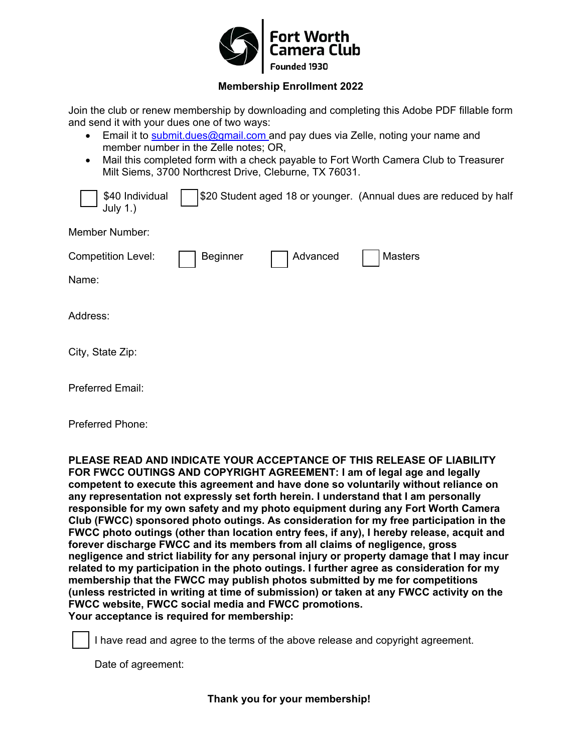

## **Membership Enrollment 2022**

Join the club or renew membership by downloading and completing this Adobe PDF fillable form and send it with your dues one of two ways:

- Email it to [submit.dues@gmail.com](mailto:submit.dues@gmail.com) and pay dues via Zelle, noting your name and member number in the Zelle notes; OR,
- Mail this completed form with a check payable to Fort Worth Camera Club to Treasurer Milt Siems, 3700 Northcrest Drive, Cleburne, TX 76031.

| \$40 Individual<br>July 1.) |          |          | \$20 Student aged 18 or younger. (Annual dues are reduced by half |
|-----------------------------|----------|----------|-------------------------------------------------------------------|
| Member Number:              |          |          |                                                                   |
| <b>Competition Level:</b>   | Beginner | Advanced | <b>Masters</b>                                                    |
| Name:                       |          |          |                                                                   |
| Address:                    |          |          |                                                                   |

City, State Zip:

Preferred Email:

Preferred Phone:

**PLEASE READ AND INDICATE YOUR ACCEPTANCE OF THIS RELEASE OF LIABILITY FOR FWCC OUTINGS AND COPYRIGHT AGREEMENT: I am of legal age and legally competent to execute this agreement and have done so voluntarily without reliance on any representation not expressly set forth herein. I understand that I am personally responsible for my own safety and my photo equipment during any Fort Worth Camera Club (FWCC) sponsored photo outings. As consideration for my free participation in the FWCC photo outings (other than location entry fees, if any), I hereby release, acquit and forever discharge FWCC and its members from all claims of negligence, gross negligence and strict liability for any personal injury or property damage that I may incur related to my participation in the photo outings. I further agree as consideration for my membership that the FWCC may publish photos submitted by me for competitions (unless restricted in writing at time of submission) or taken at any FWCC activity on the FWCC website, FWCC social media and FWCC promotions. Your acceptance is required for membership:**

I have read and agree to the terms of the above release and copyright agreement.

Date of agreement: